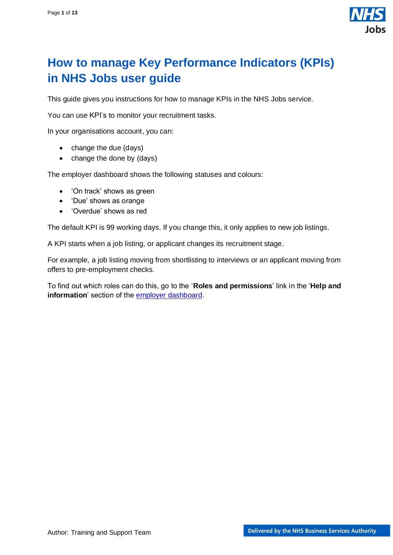

# <span id="page-0-0"></span>**How to manage Key Performance Indicators (KPIs) in NHS Jobs user guide**

This guide gives you instructions for how to manage KPIs in the NHS Jobs service.

You can use KPI's to monitor your recruitment tasks.

In your organisations account, you can:

- change the due (days)
- change the done by (days)

The employer dashboard shows the following statuses and colours:

- 'On track' shows as green
- 'Due' shows as orange
- 'Overdue' shows as red

The default KPI is 99 working days. If you change this, it only applies to new job listings.

A KPI starts when a job listing, or applicant changes its recruitment stage.

For example, a job listing moving from shortlisting to interviews or an applicant moving from offers to pre-employment checks.

To find out which roles can do this, go to the '**Roles and permissions**' link in the '**Help and information**' section of the [employer dashboard.](https://beta.jobs.nhs.uk/home)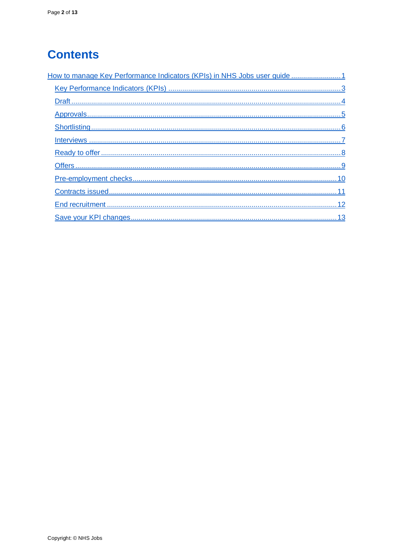# **Contents**

| How to manage Key Performance Indicators (KPIs) in NHS Jobs user guide  1 |
|---------------------------------------------------------------------------|
|                                                                           |
|                                                                           |
|                                                                           |
|                                                                           |
|                                                                           |
|                                                                           |
|                                                                           |
|                                                                           |
|                                                                           |
|                                                                           |
|                                                                           |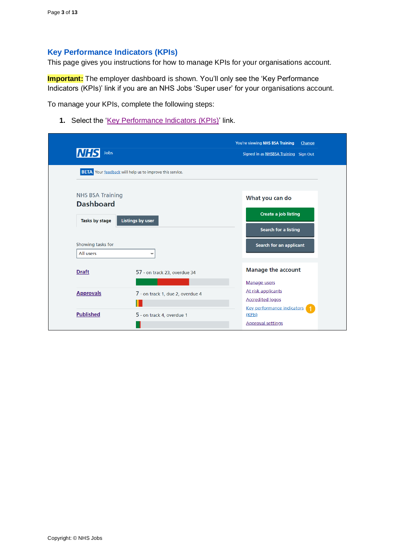#### <span id="page-2-0"></span>**Key Performance Indicators (KPIs)**

This page gives you instructions for how to manage KPIs for your organisations account.

**Important:** The employer dashboard is shown. You'll only see the 'Key Performance Indicators (KPIs)' link if you are an NHS Jobs 'Super user' for your organisations account.

To manage your KPIs, complete the following steps:

1. Select the ['Key Performance Indicators \(KPIs\)'](#page-3-0) link.

| <b>NHS</b><br>Jobs                          |                                                                 | You're viewing NHS BSA Training<br>Change<br>Signed in as NHSBSA Training Sign Out |
|---------------------------------------------|-----------------------------------------------------------------|------------------------------------------------------------------------------------|
|                                             | <b>BETA</b> Your feedback will help us to improve this service. |                                                                                    |
| <b>NHS BSA Training</b><br><b>Dashboard</b> |                                                                 | What you can do                                                                    |
| Tasks by stage                              | <b>Listings by user</b>                                         | <b>Create a job listing</b>                                                        |
|                                             |                                                                 | <b>Search for a listing</b>                                                        |
| Showing tasks for<br>All users              | $\check{ }$                                                     | <b>Search for an applicant</b>                                                     |
| <b>Draft</b>                                | 57 - on track 23, overdue 34                                    | <b>Manage the account</b>                                                          |
| <b>Approvals</b>                            |                                                                 | <b>Manage users</b><br>At risk applicants                                          |
|                                             | 7 - on track 1, due 2, overdue 4                                | <b>Accredited logos</b>                                                            |
| <b>Published</b>                            | 5 - on track 4, overdue 1                                       | Key performance indicators<br>(KPIs)                                               |
|                                             |                                                                 | <b>Approval settings</b>                                                           |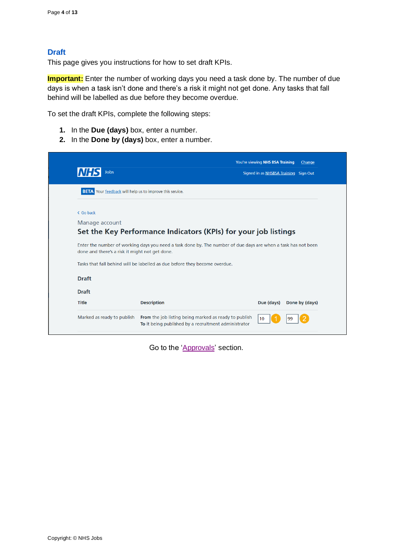# <span id="page-3-0"></span>**Draft**

This page gives you instructions for how to set draft KPIs.

**Important:** Enter the number of working days you need a task done by. The number of due days is when a task isn't done and there's a risk it might not get done. Any tasks that fall behind will be labelled as due before they become overdue.

To set the draft KPIs, complete the following steps:

- **1.** In the **Due (days)** box, enter a number.
- **2.** In the **Done by (days)** box, enter a number.

| <b>Jobs</b><br>INH.                                             |                                                                                                                                                                                             |            | Signed in as NHSBSA Training Sign Out |
|-----------------------------------------------------------------|---------------------------------------------------------------------------------------------------------------------------------------------------------------------------------------------|------------|---------------------------------------|
| <b>BETA</b> Your feedback will help us to improve this service. |                                                                                                                                                                                             |            |                                       |
| < Go back                                                       |                                                                                                                                                                                             |            |                                       |
| Manage account                                                  |                                                                                                                                                                                             |            |                                       |
|                                                                 | Set the Key Performance Indicators (KPIs) for your job listings                                                                                                                             |            |                                       |
|                                                                 |                                                                                                                                                                                             |            |                                       |
| done and there's a risk it might not get done.                  | Enter the number of working days you need a task done by. The number of due days are when a task has not been<br>Tasks that fall behind will be labelled as due before they become overdue. |            |                                       |
| <b>Draft</b>                                                    |                                                                                                                                                                                             |            |                                       |
| <b>Draft</b>                                                    |                                                                                                                                                                                             |            |                                       |
| <b>Title</b>                                                    | <b>Description</b>                                                                                                                                                                          | Due (days) | Done by (days)                        |

Go to the ['Approvals'](#page-4-0) section.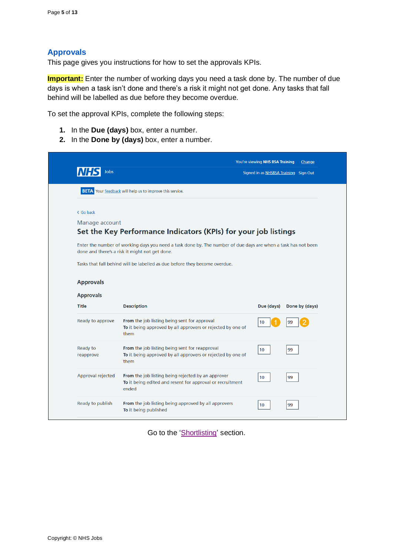# <span id="page-4-0"></span>**Approvals**

This page gives you instructions for how to set the approvals KPIs.

**Important:** Enter the number of working days you need a task done by. The number of due days is when a task isn't done and there's a risk it might not get done. Any tasks that fall behind will be labelled as due before they become overdue.

To set the approval KPIs, complete the following steps:

- **1.** In the **Due (days)** box, enter a number.
- **2.** In the **Done by (days)** box, enter a number.

| Jobs                  |                                                                                                                                                                                                                                               | You're viewing NHS BSA Training<br>Signed in as NHSBSA Training Sign Out | Change         |
|-----------------------|-----------------------------------------------------------------------------------------------------------------------------------------------------------------------------------------------------------------------------------------------|--------------------------------------------------------------------------|----------------|
|                       | <b>BETA</b> Your feedback will help us to improve this service.                                                                                                                                                                               |                                                                          |                |
| < Go back             |                                                                                                                                                                                                                                               |                                                                          |                |
| Manage account        |                                                                                                                                                                                                                                               |                                                                          |                |
|                       | Set the Key Performance Indicators (KPIs) for your job listings                                                                                                                                                                               |                                                                          |                |
|                       | Enter the number of working days you need a task done by. The number of due days are when a task has not been<br>done and there's a risk it might not get done.<br>Tasks that fall behind will be labelled as due before they become overdue. |                                                                          |                |
| <b>Approvals</b>      |                                                                                                                                                                                                                                               |                                                                          |                |
| <b>Approvals</b>      |                                                                                                                                                                                                                                               |                                                                          |                |
| <b>Title</b>          | <b>Description</b>                                                                                                                                                                                                                            | Due (days)                                                               | Done by (days) |
| Ready to approve      | From the job listing being sent for approval<br>To it being approved by all approvers or rejected by one of<br>them                                                                                                                           | 10 <sup>°</sup>                                                          | 99             |
|                       | From the job listing being sent for reapproval                                                                                                                                                                                                |                                                                          | 99             |
| Ready to<br>reapprove | To it being approved by all approvers or rejected by one of<br>them                                                                                                                                                                           | 10                                                                       |                |
| Approval rejected     | From the job listing being rejected by an approver<br>To it being edited and resent for approval or recruitment<br>ended                                                                                                                      | 10                                                                       | 99             |

Go to the ['Shortlisting'](#page-5-0) section.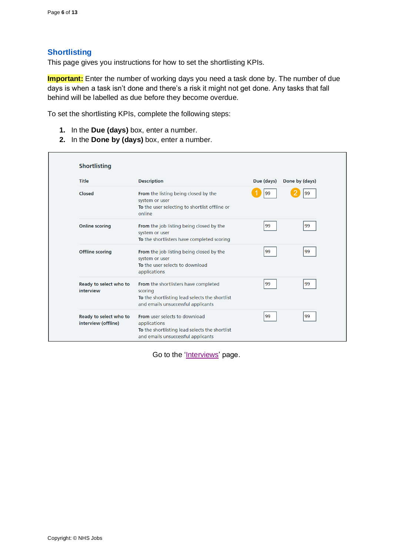# <span id="page-5-0"></span>**Shortlisting**

This page gives you instructions for how to set the shortlisting KPIs.

**Important:** Enter the number of working days you need a task done by. The number of due days is when a task isn't done and there's a risk it might not get done. Any tasks that fall behind will be labelled as due before they become overdue.

To set the shortlisting KPIs, complete the following steps:

- **1.** In the **Due (days)** box, enter a number.
- **2.** In the **Done by (days)** box, enter a number.

| <b>Title</b>                                  | <b>Description</b>                                                                                                                           | Due (days) | Done by (days) |
|-----------------------------------------------|----------------------------------------------------------------------------------------------------------------------------------------------|------------|----------------|
| Closed                                        | From the listing being closed by the<br>system or user<br>To the user selecting to shortlist offline or<br>online                            | 99         | 99             |
| <b>Online scoring</b>                         | From the job listing being closed by the<br>system or user<br>To the shortlisters have completed scoring                                     | 99         | 99             |
| <b>Offline scoring</b>                        | From the job listing being closed by the<br>system or user<br>To the user selects to download<br>applications                                | 99         | 99             |
| Ready to select who to<br>interview           | From the shortlisters have completed<br>scoring<br>To the shortlisting lead selects the shortlist<br>and emails unsuccessful applicants      | 99         | 99             |
| Ready to select who to<br>interview (offline) | <b>From</b> user selects to download<br>applications<br>To the shortlisting lead selects the shortlist<br>and emails unsuccessful applicants | 99         | 99             |

Go to the ['Interviews'](#page-6-0) page.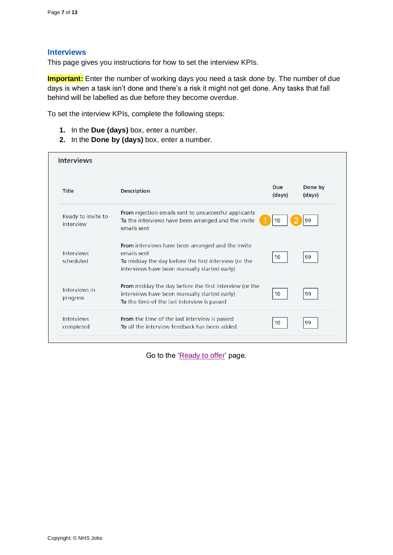#### <span id="page-6-0"></span>**Interviews**

This page gives you instructions for how to set the interview KPIs.

**Important:** Enter the number of working days you need a task done by. The number of due days is when a task isn't done and there's a risk it might not get done. Any tasks that fall behind will be labelled as due before they become overdue.

To set the interview KPIs, complete the following steps:

- **1.** In the **Due (days)** box, enter a number.
- **2.** In the **Done by (days)** box, enter a number.

| <b>Interviews</b>               |                                                                                                                                                                          |                      |                   |
|---------------------------------|--------------------------------------------------------------------------------------------------------------------------------------------------------------------------|----------------------|-------------------|
| <b>Title</b>                    | <b>Description</b>                                                                                                                                                       | <b>Due</b><br>(days) | Done by<br>(days) |
| Ready to invite to<br>interview | <b>From</b> rejection emails sent to unsuccessful applicants<br>To the interviews have been arranged and the invite<br>emails sent                                       | 10                   | 99                |
| <b>Interviews</b><br>scheduled  | From interviews have been arranged and the invite<br>emails sent<br>To midday the day before the first interview (or the<br>interviews have been manually started early) | 10                   | 99                |
| Interviews in<br>progress       | <b>From</b> midday the day before the first interview (or the<br>interviews have been manually started early)<br>To the time of the last interview is passed             | 10 <sup>1</sup>      | 99                |
| <b>Interviews</b><br>completed  | <b>From</b> the time of the last interview is passed<br>To all the interview feedback has been added                                                                     | 10 <sup>1</sup>      | 99                |

Go to the ['Ready to offer'](#page-7-0) page.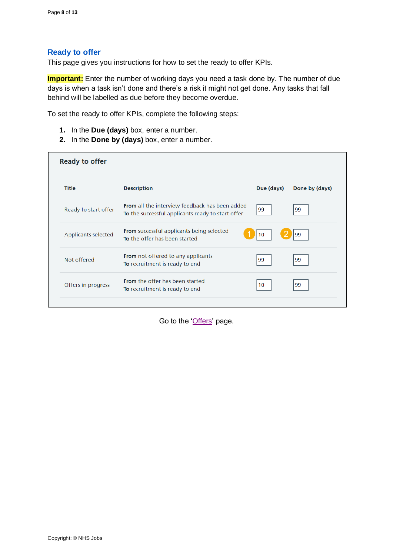#### <span id="page-7-0"></span>**Ready to offer**

This page gives you instructions for how to set the ready to offer KPIs.

**Important:** Enter the number of working days you need a task done by. The number of due days is when a task isn't done and there's a risk it might not get done. Any tasks that fall behind will be labelled as due before they become overdue.

To set the ready to offer KPIs, complete the following steps:

- **1.** In the **Due (days)** box, enter a number.
- **2.** In the **Done by (days)** box, enter a number.

| <b>Description</b>                                                                                         | Due (days) | Done by (days) |
|------------------------------------------------------------------------------------------------------------|------------|----------------|
|                                                                                                            |            |                |
| <b>From</b> all the interview feedback has been added<br>To the successful applicants ready to start offer | 99         | 99             |
| <b>From</b> successful applicants being selected<br>To the offer has been started                          | 10         | 99             |
| <b>From</b> not offered to any applicants<br>To recruitment is ready to end                                | 99         | 99             |
| <b>From</b> the offer has been started<br>To recruitment is ready to end                                   | 10         | 99             |
|                                                                                                            |            |                |

Go to the ['Offers'](#page-8-0) page.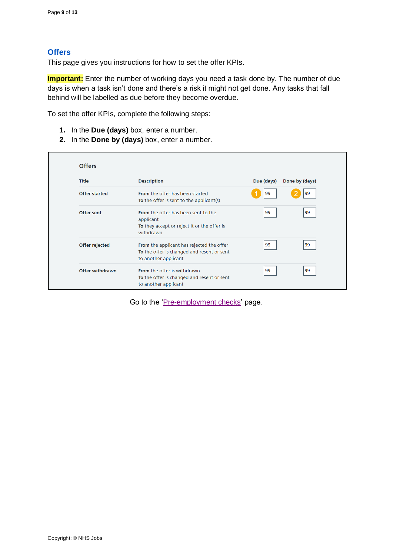# <span id="page-8-0"></span>**Offers**

This page gives you instructions for how to set the offer KPIs.

**Important:** Enter the number of working days you need a task done by. The number of due days is when a task isn't done and there's a risk it might not get done. Any tasks that fall behind will be labelled as due before they become overdue.

To set the offer KPIs, complete the following steps:

- **1.** In the **Due (days)** box, enter a number.
- **2.** In the **Done by (days)** box, enter a number.

| <b>Offers</b>   |                                                                                                                     |            |                |
|-----------------|---------------------------------------------------------------------------------------------------------------------|------------|----------------|
| <b>Title</b>    | <b>Description</b>                                                                                                  | Due (days) | Done by (days) |
| Offer started   | <b>From</b> the offer has been started<br>To the offer is sent to the applicant(s)                                  | 99         | 99             |
| Offer sent      | <b>From</b> the offer has been sent to the<br>applicant<br>To they accept or reject it or the offer is<br>withdrawn | 99         | 99             |
| Offer rejected  | From the applicant has rejected the offer<br>To the offer is changed and resent or sent<br>to another applicant     | 99         | 99             |
| Offer withdrawn | <b>From</b> the offer is withdrawn<br>To the offer is changed and resent or sent<br>to another applicant            | 99         | 99             |

Go to the ['Pre-employment checks'](#page-9-0) page.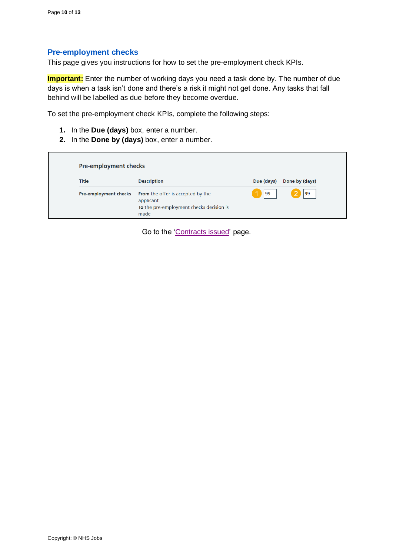#### <span id="page-9-0"></span>**Pre-employment checks**

This page gives you instructions for how to set the pre-employment check KPIs.

**Important:** Enter the number of working days you need a task done by. The number of due days is when a task isn't done and there's a risk it might not get done. Any tasks that fall behind will be labelled as due before they become overdue.

To set the pre-employment check KPIs, complete the following steps:

- **1.** In the **Due (days)** box, enter a number.
- **2.** In the **Done by (days)** box, enter a number.

| Pre-employment checks |                                                                                                    |            |                |
|-----------------------|----------------------------------------------------------------------------------------------------|------------|----------------|
| <b>Title</b>          | <b>Description</b>                                                                                 | Due (days) | Done by (days) |
| Pre-employment checks | From the offer is accepted by the<br>applicant<br>To the pre-employment checks decision is<br>made | 99         | 99             |

Go to the ['Contracts issued'](#page-10-0) page.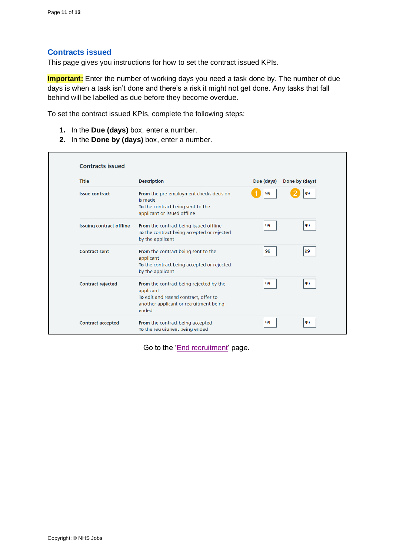## <span id="page-10-0"></span>**Contracts issued**

This page gives you instructions for how to set the contract issued KPIs.

**Important:** Enter the number of working days you need a task done by. The number of due days is when a task isn't done and there's a risk it might not get done. Any tasks that fall behind will be labelled as due before they become overdue.

To set the contract issued KPIs, complete the following steps:

- **1.** In the **Due (days)** box, enter a number.
- **2.** In the **Done by (days)** box, enter a number.

| <b>Title</b>                    | <b>Description</b>                                                                                                                               | Due (days) | Done by (days) |
|---------------------------------|--------------------------------------------------------------------------------------------------------------------------------------------------|------------|----------------|
| <b>Issue contract</b>           | From the pre-employment checks decision<br>is made<br>To the contract being sent to the<br>applicant or issued offline                           | 99         | 99             |
| <b>Issuing contract offline</b> | <b>From</b> the contract being issued offline<br>To the contract being accepted or rejected<br>by the applicant                                  | 99         | 99             |
| <b>Contract sent</b>            | <b>From</b> the contract being sent to the<br>applicant<br>To the contract being accepted or rejected<br>by the applicant                        | 99         | 99             |
| <b>Contract rejected</b>        | From the contract being rejected by the<br>applicant<br>To edit and resend contract, offer to<br>another applicant or recruitment being<br>ended | 99         | 99             |
| <b>Contract accepted</b>        | From the contract being accepted<br>To the recruitment being ended                                                                               | 99         | 99             |

Go to the ['End recruitment'](#page-11-0) page.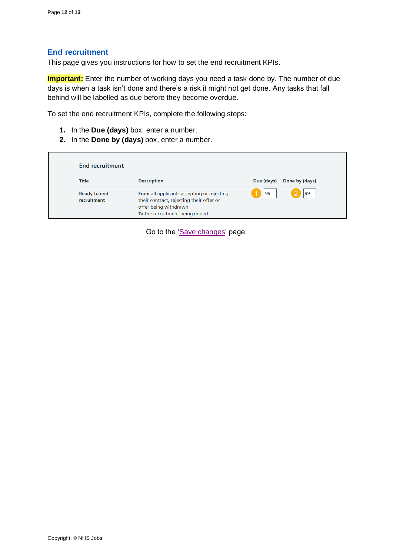#### <span id="page-11-0"></span>**End recruitment**

This page gives you instructions for how to set the end recruitment KPIs.

**Important:** Enter the number of working days you need a task done by. The number of due days is when a task isn't done and there's a risk it might not get done. Any tasks that fall behind will be labelled as due before they become overdue.

To set the end recruitment KPIs, complete the following steps:

- **1.** In the **Due (days)** box, enter a number.
- **2.** In the **Done by (days)** box, enter a number.

| <b>End recruitment</b>             |                                                                                                                                                   |            |                |
|------------------------------------|---------------------------------------------------------------------------------------------------------------------------------------------------|------------|----------------|
| <b>Title</b>                       | <b>Description</b>                                                                                                                                | Due (days) | Done by (days) |
| <b>Ready to end</b><br>recruitment | From all applicants accepting or rejecting<br>their contract, rejecting their offer or<br>offer being withdrawn<br>To the recruitment being ended | 99         | 199            |

Go to the 'Save [changes'](#page-12-0) page.